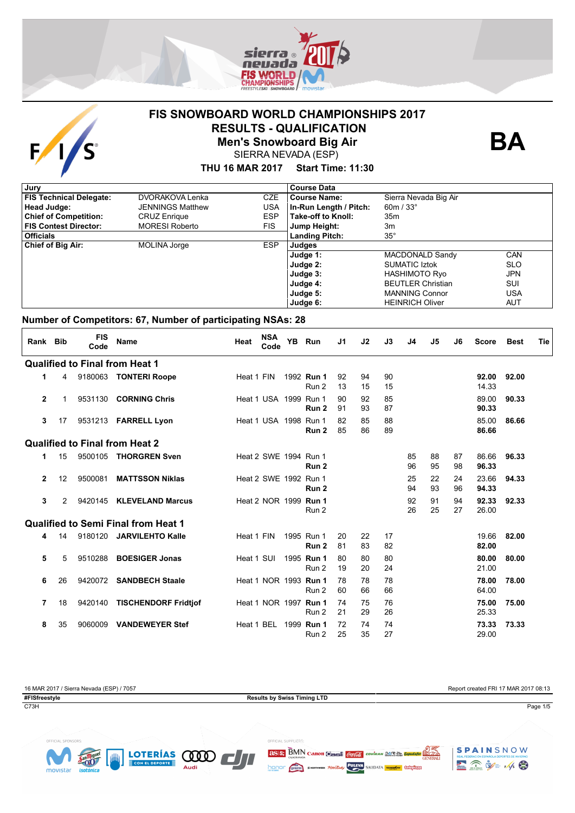

## **FIS SNOWBOARD WORLD CHAMPIONSHIPS 2017 RESULTS - QUALIFICATION**



**Men's Snowboard Big Air** SIERRA NEVADA (ESP)

## **THU 16 MAR 2017 Start Time: 11:30**

| Jury                           |                         |            | <b>Course Data</b>     |                          |            |
|--------------------------------|-------------------------|------------|------------------------|--------------------------|------------|
| <b>FIS Technical Delegate:</b> | DVORAKOVA Lenka         | <b>CZE</b> | <b>Course Name:</b>    | Sierra Nevada Big Air    |            |
| Head Judge:                    | <b>JENNINGS Matthew</b> | USA        | In-Run Length / Pitch: | 60m / $33^{\circ}$       |            |
| <b>Chief of Competition:</b>   | <b>CRUZ Enrique</b>     | <b>ESP</b> | Take-off to Knoll:     | 35 <sub>m</sub>          |            |
| <b>FIS Contest Director:</b>   | <b>MORESI Roberto</b>   | <b>FIS</b> | Jump Height:           | 3m                       |            |
| <b>Officials</b>               |                         |            | <b>Landing Pitch:</b>  | $35^{\circ}$             |            |
| <b>Chief of Big Air:</b>       | <b>MOLINA Jorge</b>     | <b>ESP</b> | Judges                 |                          |            |
|                                |                         |            | Judge 1:               | MACDONALD Sandy          | <b>CAN</b> |
|                                |                         |            | Judge 2:               | <b>SUMATIC Iztok</b>     | <b>SLO</b> |
|                                |                         |            | Judge 3:               | <b>HASHIMOTO Ryo</b>     | <b>JPN</b> |
|                                |                         |            | Judge 4:               | <b>BEUTLER Christian</b> | SUI        |
|                                |                         |            | Judge 5:               | <b>MANNING Connor</b>    | USA        |
|                                |                         |            | Judge 6:               | <b>HEINRICH Oliver</b>   | AUT        |

#### **Number of Competitors: 67, Number of participating NSAs: 28**

| Rank Bib       |    | <b>FIS</b><br>Code | Name                                       | Heat       | <b>NSA</b><br>Code    | YB. | Run                                   | J1       | J2       | J3       | J4       | J5       | J6       | <b>Score</b>   | <b>Best</b> | Tie |
|----------------|----|--------------------|--------------------------------------------|------------|-----------------------|-----|---------------------------------------|----------|----------|----------|----------|----------|----------|----------------|-------------|-----|
|                |    |                    | <b>Qualified to Final from Heat 1</b>      |            |                       |     |                                       |          |          |          |          |          |          |                |             |     |
| 1.             | 4  |                    | 9180063 TONTERI Roope                      | Heat 1 FIN |                       |     | 1992 Run 1<br>Run 2                   | 92<br>13 | 94<br>15 | 90<br>15 |          |          |          | 92.00<br>14.33 | 92.00       |     |
| $\overline{2}$ | 1  | 9531130            | <b>CORNING Chris</b>                       |            | Heat 1 USA 1999 Run 1 |     | Run 2                                 | 90<br>91 | 92<br>93 | 85<br>87 |          |          |          | 89.00<br>90.33 | 90.33       |     |
| 3              | 17 |                    | 9531213 FARRELL Lyon                       |            | Heat 1 USA 1998 Run 1 |     | Run 2                                 | 82<br>85 | 85<br>86 | 88<br>89 |          |          |          | 85.00<br>86.66 | 86.66       |     |
|                |    |                    | <b>Qualified to Final from Heat 2</b>      |            |                       |     |                                       |          |          |          |          |          |          |                |             |     |
| 1              | 15 | 9500105            | <b>THORGREN Sven</b>                       |            | Heat 2 SWE 1994 Run 1 |     | Run 2                                 |          |          |          | 85<br>96 | 88<br>95 | 87<br>98 | 86.66<br>96.33 | 96.33       |     |
| $\overline{2}$ | 12 | 9500081            | <b>MATTSSON Niklas</b>                     |            | Heat 2 SWE 1992 Run 1 |     | Run 2                                 |          |          |          | 25<br>94 | 22<br>93 | 24<br>96 | 23.66<br>94.33 | 94.33       |     |
| 3              | 2  |                    | 9420145 KLEVELAND Marcus                   |            | Heat 2 NOR 1999 Run 1 |     | Run 2                                 |          |          |          | 92<br>26 | 91<br>25 | 94<br>27 | 92.33<br>26.00 | 92.33       |     |
|                |    |                    | <b>Qualified to Semi Final from Heat 1</b> |            |                       |     |                                       |          |          |          |          |          |          |                |             |     |
| 4              | 14 | 9180120            | <b>JARVILEHTO Kalle</b>                    | Heat 1 FIN |                       |     | 1995 Run 1<br>Run 2                   | 20<br>81 | 22<br>83 | 17<br>82 |          |          |          | 19.66<br>82.00 | 82.00       |     |
| 5              | 5  | 9510288            | <b>BOESIGER Jonas</b>                      | Heat 1 SUI |                       |     | 1995 Run 1<br>Run 2                   | 80<br>19 | 80<br>20 | 80<br>24 |          |          |          | 80.00<br>21.00 | 80.00       |     |
| 6              | 26 |                    | 9420072 SANDBECH Staale                    |            |                       |     | Heat 1 NOR 1993 <b>Run 1</b><br>Run 2 | 78<br>60 | 78<br>66 | 78<br>66 |          |          |          | 78.00<br>64.00 | 78.00       |     |
| 7              | 18 | 9420140            | <b>TISCHENDORF Fridtjof</b>                |            |                       |     | Heat 1 NOR 1997 <b>Run 1</b><br>Run 2 | 74<br>21 | 75<br>29 | 76<br>26 |          |          |          | 75.00<br>25.33 | 75.00       |     |
| 8              | 35 | 9060009            | <b>VANDEWEYER Stef</b>                     |            | Heat 1 BEL            |     | 1999 Run 1<br>Run 2                   | 72<br>25 | 74<br>35 | 74<br>27 |          |          |          | 73.33<br>29.00 | 73.33       |     |

| 16 MAR 2017 / Sierra Nevada (ESP) / 7057 |                                    | Report created FRI 17 MAR 2017 08:13 |
|------------------------------------------|------------------------------------|--------------------------------------|
| #FISfreestyle                            | <b>Results by Swiss Timing LTD</b> |                                      |
| C73H                                     |                                    | Page 1/5                             |







**BA**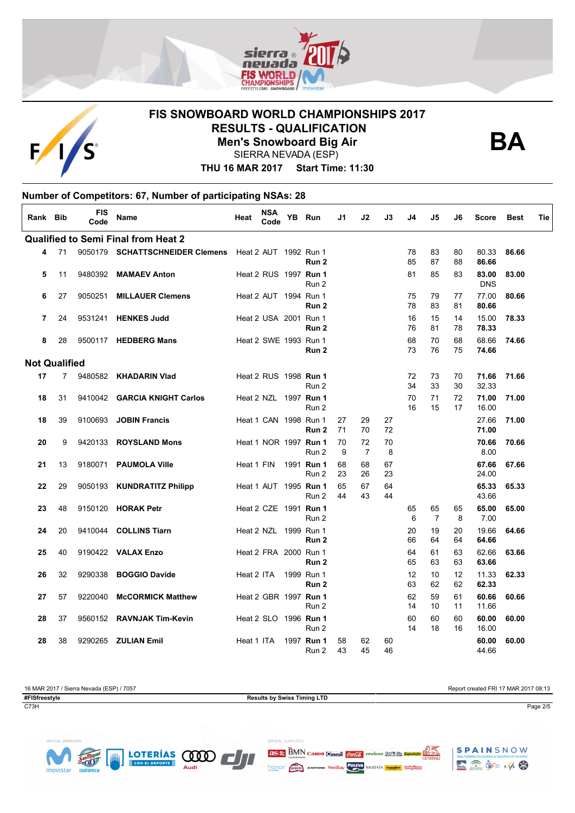

# **FIS SNOWBOARD WORLD CHAMPIONSHIPS 2017 RESULTS - QUALIFICATION**



**Men's Snowboard Big Air**



SIERRA NEVADA (ESP)

**THU 16 MAR 2017 Start Time: 11:30**

|                      | Number of Competitors: 67, Number of participating NSAs: 28 |                    |                                            |                              |                    |  |                     |          |                      |          |          |                      |          |                     |             |     |
|----------------------|-------------------------------------------------------------|--------------------|--------------------------------------------|------------------------------|--------------------|--|---------------------|----------|----------------------|----------|----------|----------------------|----------|---------------------|-------------|-----|
| Rank Bib             |                                                             | <b>FIS</b><br>Code | <b>Name</b>                                | Heat                         | <b>NSA</b><br>Code |  | YB Run              | J1       | J2                   | J3       | J4       | J5                   | J6       | <b>Score</b>        | <b>Best</b> | Tie |
|                      |                                                             |                    | <b>Qualified to Semi Final from Heat 2</b> |                              |                    |  |                     |          |                      |          |          |                      |          |                     |             |     |
| 4                    | 71                                                          |                    | 9050179 SCHATTSCHNEIDER Clemens            | Heat 2 AUT 1992 Run 1        |                    |  | Run 2               |          |                      |          | 78<br>85 | 83<br>87             | 80<br>88 | 80.33<br>86.66      | 86.66       |     |
| 5                    | 11                                                          | 9480392            | <b>MAMAEV Anton</b>                        | Heat 2 RUS 1997 Run 1        |                    |  | Run 2               |          |                      |          | 81       | 85                   | 83       | 83.00<br><b>DNS</b> | 83.00       |     |
| 6                    | 27                                                          | 9050251            | <b>MILLAUER Clemens</b>                    | Heat 2 AUT 1994 Run 1        |                    |  | Run 2               |          |                      |          | 75<br>78 | 79<br>83             | 77<br>81 | 77.00<br>80.66      | 80.66       |     |
| 7                    | 24                                                          | 9531241            | <b>HENKES Judd</b>                         | Heat 2 USA 2001 Run 1        |                    |  | Run 2               |          |                      |          | 16<br>76 | 15<br>81             | 14<br>78 | 15.00<br>78.33      | 78.33       |     |
| 8                    | 28                                                          |                    | 9500117 HEDBERG Mans                       | Heat 2 SWE 1993 Run 1        |                    |  | Run <sub>2</sub>    |          |                      |          | 68<br>73 | 70<br>76             | 68<br>75 | 68.66<br>74.66      | 74.66       |     |
| <b>Not Qualified</b> |                                                             |                    |                                            |                              |                    |  |                     |          |                      |          |          |                      |          |                     |             |     |
| 17                   | $\overline{7}$                                              | 9480582            | <b>KHADARIN Vlad</b>                       | Heat 2 RUS 1998 Run 1        |                    |  | Run 2               |          |                      |          | 72<br>34 | 73<br>33             | 70<br>30 | 71.66<br>32.33      | 71.66       |     |
| 18                   | 31                                                          | 9410042            | <b>GARCIA KNIGHT Carlos</b>                | Heat 2 NZL 1997 <b>Run 1</b> |                    |  | Run 2               |          |                      |          | 70<br>16 | 71<br>15             | 72<br>17 | 71.00<br>16.00      | 71.00       |     |
| 18                   | 39                                                          | 9100693            | <b>JOBIN Francis</b>                       | Heat 1 CAN 1998 Run 1        |                    |  | Run <sub>2</sub>    | 27<br>71 | 29<br>70             | 27<br>72 |          |                      |          | 27.66<br>71.00      | 71.00       |     |
| 20                   | 9                                                           | 9420133            | <b>ROYSLAND Mons</b>                       | Heat 1 NOR 1997 Run 1        |                    |  | Run 2               | 70<br>9  | 72<br>$\overline{7}$ | 70<br>8  |          |                      |          | 70.66<br>8.00       | 70.66       |     |
| 21                   | 13                                                          | 9180071            | <b>PAUMOLA Ville</b>                       | Heat 1 FIN                   |                    |  | 1991 Run 1<br>Run 2 | 68<br>23 | 68<br>26             | 67<br>23 |          |                      |          | 67.66<br>24.00      | 67.66       |     |
| 22                   | 29                                                          | 9050193            | <b>KUNDRATITZ Philipp</b>                  | Heat 1 AUT 1995 Run 1        |                    |  | Run 2               | 65<br>44 | 67<br>43             | 64<br>44 |          |                      |          | 65.33<br>43.66      | 65.33       |     |
| 23                   | 48                                                          | 9150120            | <b>HORAK Petr</b>                          | Heat 2 CZE 1991 <b>Run 1</b> |                    |  | Run 2               |          |                      |          | 65<br>6  | 65<br>$\overline{7}$ | 65<br>8  | 65.00<br>7.00       | 65.00       |     |
| 24                   | 20                                                          | 9410044            | <b>COLLINS Tiarn</b>                       | Heat 2 NZL 1999 Run 1        |                    |  | Run <sub>2</sub>    |          |                      |          | 20<br>66 | 19<br>64             | 20<br>64 | 19.66<br>64.66      | 64.66       |     |
| 25                   | 40                                                          | 9190422            | <b>VALAX Enzo</b>                          | Heat 2 FRA 2000 Run 1        |                    |  | Run 2               |          |                      |          | 64<br>65 | 61<br>63             | 63<br>63 | 62.66<br>63.66      | 63.66       |     |
| 26                   | 32                                                          | 9290338            | <b>BOGGIO Davide</b>                       | Heat 2 ITA                   |                    |  | 1999 Run 1<br>Run 2 |          |                      |          | 12<br>63 | 10<br>62             | 12<br>62 | 11.33<br>62.33      | 62.33       |     |
| 27                   | 57                                                          | 9220040            | <b>McCORMICK Matthew</b>                   | Heat 2 GBR 1997 Run 1        |                    |  | Run 2               |          |                      |          | 62<br>14 | 59<br>10             | 61<br>11 | 60.66<br>11.66      | 60.66       |     |
| 28                   | 37                                                          | 9560152            | <b>RAVNJAK Tim-Kevin</b>                   | Heat 2 SLO 1996 Run 1        |                    |  | Run 2               |          |                      |          | 60<br>14 | 60<br>18             | 60<br>16 | 60.00<br>16.00      | 60.00       |     |
| 28                   | 38                                                          |                    | 9290265 <b>ZULIAN Emil</b>                 | Heat 1 ITA                   |                    |  | 1997 Run 1<br>Run 2 | 58<br>43 | 62<br>45             | 60<br>46 |          |                      |          | 60.00<br>44.66      | 60.00       |     |

16 MAR 2017 / Sierra Nevada (ESP) / 7057<br> **Results by Swiss Timing LTD**<br>
Results by Swiss Timing LTD **Results by Swiss Timing LTD** C73H Page 2/5





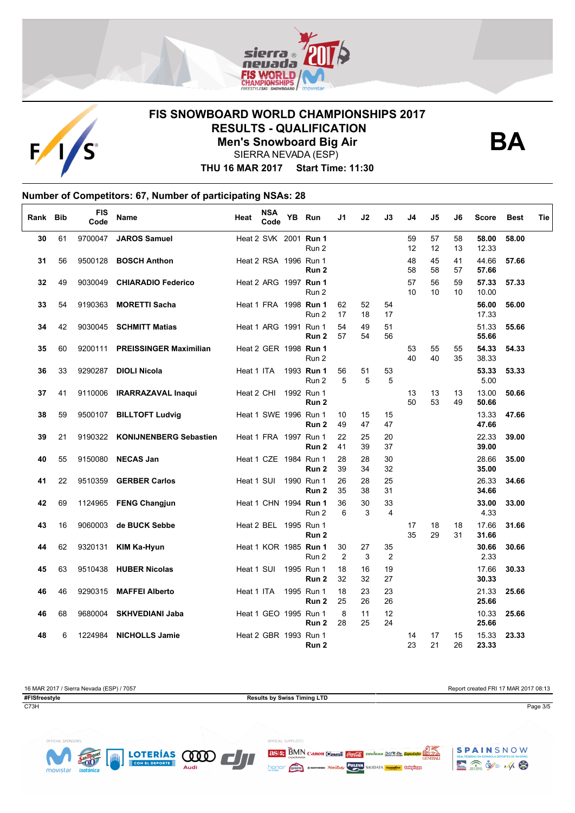



# **FIS SNOWBOARD WORLD CHAMPIONSHIPS 2017 RESULTS - QUALIFICATION**

**Men's Snowboard Big Air**

**BA**

SIERRA NEVADA (ESP)

**THU 16 MAR 2017 Start Time: 11:30**

#### **Number of Competitors: 67, Number of participating NSAs: 28**  $\overline{1}$

| Rank Bib |    | FIS<br>Code | Name                          | Heat                  | NSA<br>Code | YB | Run                                       | J1                   | J2       | J3                   | J4                    | J5       | J6       | <b>Score</b>   | <b>Best</b> | Tie |
|----------|----|-------------|-------------------------------|-----------------------|-------------|----|-------------------------------------------|----------------------|----------|----------------------|-----------------------|----------|----------|----------------|-------------|-----|
| 30       | 61 |             | 9700047 JAROS Samuel          |                       |             |    | Heat 2 SVK 2001 Run 1<br>Run 2            |                      |          |                      | 59<br>12              | 57<br>12 | 58<br>13 | 58.00<br>12.33 | 58.00       |     |
| 31       | 56 |             | 9500128 BOSCH Anthon          |                       |             |    | Heat 2 RSA 1996 Run 1<br>Run 2            |                      |          |                      | 48<br>58              | 45<br>58 | 41<br>57 | 44.66<br>57.66 | 57.66       |     |
| 32       | 49 | 9030049     | <b>CHIARADIO Federico</b>     |                       |             |    | Heat 2 ARG 1997 Run 1<br>Run 2            |                      |          |                      | 57<br>10 <sup>1</sup> | 56<br>10 | 59<br>10 | 57.33<br>10.00 | 57.33       |     |
| 33       | 54 | 9190363     | <b>MORETTI Sacha</b>          |                       |             |    | Heat 1 FRA 1998 <b>Run 1</b><br>Run 2     | 62<br>17             | 52<br>18 | 54<br>17             |                       |          |          | 56.00<br>17.33 | 56.00       |     |
| 34       | 42 |             | 9030045 SCHMITT Matias        |                       |             |    | Heat 1 ARG 1991 Run 1<br>Run 2            | 54<br>57             | 49<br>54 | 51<br>56             |                       |          |          | 51.33<br>55.66 | 55.66       |     |
| 35       | 60 | 9200111     | <b>PREISSINGER Maximilian</b> |                       |             |    | Heat 2 GER 1998 Run 1<br>Run 2            |                      |          |                      | 53<br>40              | 55<br>40 | 55<br>35 | 54.33<br>38.33 | 54.33       |     |
| 36       | 33 | 9290287     | <b>DIOLI Nicola</b>           | Heat 1 ITA            |             |    | 1993 Run 1<br>Run 2                       | 56<br>5              | 51<br>5  | 53<br>5              |                       |          |          | 53.33<br>5.00  | 53.33       |     |
| 37       | 41 |             | 9110006 IRARRAZAVAL Inaqui    | Heat 2 CHI 1992 Run 1 |             |    | Run <sub>2</sub>                          |                      |          |                      | 13<br>50              | 13<br>53 | 13<br>49 | 13.00<br>50.66 | 50.66       |     |
| 38       | 59 |             | 9500107 BILLTOFT Ludvig       |                       |             |    | Heat 1 SWE 1996 Run 1<br>Run 2            | 10<br>49             | 15<br>47 | 15<br>47             |                       |          |          | 13.33<br>47.66 | 47.66       |     |
| 39       | 21 | 9190322     | <b>KONIJNENBERG Sebastien</b> |                       |             |    | Heat 1 FRA 1997 Run 1<br>Run 2            | 22<br>41             | 25<br>39 | 20<br>37             |                       |          |          | 22.33<br>39.00 | 39.00       |     |
| 40       | 55 | 9150080     | <b>NECAS Jan</b>              |                       |             |    | Heat 1 CZE 1984 Run 1<br>Run 2            | 28<br>39             | 28<br>34 | 30<br>32             |                       |          |          | 28.66<br>35.00 | 35.00       |     |
| 41       | 22 | 9510359     | <b>GERBER Carlos</b>          | Heat 1 SUI            |             |    | 1990 Run 1<br>Run 2                       | 26<br>35             | 28<br>38 | 25<br>31             |                       |          |          | 26.33<br>34.66 | 34.66       |     |
| 42       | 69 |             | 1124965 FENG Changjun         |                       |             |    | Heat 1 CHN 1994 Run 1<br>Run 2            | 36<br>6              | 30<br>3  | 33<br>4              |                       |          |          | 33.00<br>4.33  | 33.00       |     |
| 43       | 16 |             | 9060003 de BUCK Sebbe         |                       |             |    | Heat 2 BEL 1995 Run 1<br>Run 2            |                      |          |                      | 17<br>35              | 18<br>29 | 18<br>31 | 17.66<br>31.66 | 31.66       |     |
| 44       | 62 | 9320131     | KIM Ka-Hyun                   |                       |             |    | Heat 1 KOR 1985 Run 1<br>Run 2            | 30<br>$\overline{2}$ | 27<br>3  | 35<br>$\overline{2}$ |                       |          |          | 30.66<br>2.33  | 30.66       |     |
| 45       | 63 |             | 9510438 HUBER Nicolas         |                       |             |    | Heat 1 SUI 1995 Run 1<br>Run <sub>2</sub> | 18<br>32             | 16<br>32 | 19<br>27             |                       |          |          | 17.66<br>30.33 | 30.33       |     |
| 46       | 46 |             | 9290315 MAFFEI Alberto        | Heat 1 ITA            |             |    | 1995 Run 1<br>Run 2                       | 18<br>25             | 23<br>26 | 23<br>26             |                       |          |          | 21.33<br>25.66 | 25.66       |     |
| 46       | 68 | 9680004     | <b>SKHVEDIANI Jaba</b>        |                       |             |    | Heat 1 GEO 1995 Run 1<br>Run 2            | 8<br>28              | 11<br>25 | 12<br>24             |                       |          |          | 10.33<br>25.66 | 25.66       |     |
| 48       | 6  | 1224984     | <b>NICHOLLS Jamie</b>         | Heat 2 GBR 1993 Run 1 |             |    | Run 2                                     |                      |          |                      | 14<br>23              | 17<br>21 | 15<br>26 | 15.33<br>23.33 | 23.33       |     |

16 MAR 2017 / Sierra Nevada (ESP) / 7057<br> **Results by Swiss Timing LTD**<br>
Results by Swiss Timing LTD **Results by Swiss Timing LTD** C73H Page 3/5





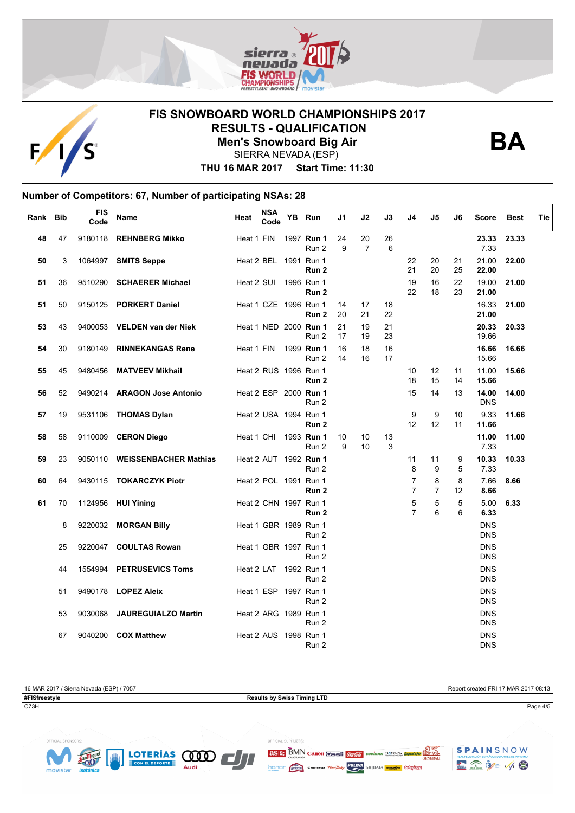



## **FIS SNOWBOARD WORLD CHAMPIONSHIPS 2017 RESULTS - QUALIFICATION Men's Snowboard Big Air**



SIERRA NEVADA (ESP)

**THU 16 MAR 2017 Start Time: 11:30**

### **Number of Competitors: 67, Number of participating NSAs: 28**

| Rank Bib |          | FIS<br>Code | <b>Name</b>                                         | Heat                  | <b>NSA</b><br>Code    | YB Run                                                  | J1       | J2                   | J3       | J4                  | J5                  | J6             | <b>Score</b>                           | <b>Best</b>    | Tie |
|----------|----------|-------------|-----------------------------------------------------|-----------------------|-----------------------|---------------------------------------------------------|----------|----------------------|----------|---------------------|---------------------|----------------|----------------------------------------|----------------|-----|
| 48       | 47       |             | 9180118 REHNBERG Mikko                              | Heat 1 FIN            |                       | 1997 <b>Run 1</b><br>Run 2                              | 24<br>9  | 20<br>$\overline{7}$ | 26<br>6  |                     |                     |                | 23.33<br>7.33                          | 23.33          |     |
| 50       | 3        | 1064997     | <b>SMITS Seppe</b>                                  |                       | Heat 2 BEL 1991 Run 1 | Run 2                                                   |          |                      |          | 22<br>21            | 20<br>20            | 21<br>25       | 21.00<br>22.00                         | 22.00          |     |
| 51       | 36       | 9510290     | <b>SCHAERER Michael</b>                             | Heat 2 SUI            |                       | 1996 Run 1<br>Run <sub>2</sub>                          |          |                      |          | 19<br>22            | 16<br>18            | 22<br>23       | 19.00<br>21.00                         | 21.00          |     |
| 51       | 50       | 9150125     | <b>PORKERT Daniel</b>                               |                       |                       | Heat 1 CZE 1996 Run 1<br>Run 2                          | 14<br>20 | 17<br>21             | 18<br>22 |                     |                     |                | 16.33<br>21.00                         | 21.00          |     |
| 53       | 43       |             | 9400053 VELDEN van der Niek                         |                       |                       | Heat 1 NED 2000 Run 1<br>Run 2                          | 21<br>17 | 19<br>19             | 21<br>23 |                     |                     |                | 20.33<br>19.66                         | 20.33          |     |
| 54       | 30       | 9180149     | <b>RINNEKANGAS Rene</b>                             | Heat 1 FIN            |                       | 1999 <b>Run 1</b><br>Run 2                              | 16<br>14 | 18<br>16             | 16<br>17 |                     |                     |                | 16.66<br>15.66                         | 16.66          |     |
| 55       | 45<br>52 | 9480456     | <b>MATVEEV Mikhail</b>                              |                       |                       | Heat 2 RUS 1996 Run 1<br>Run <sub>2</sub>               |          |                      |          | 10<br>18            | 12<br>15<br>14      | 11<br>14<br>13 | 11.00<br>15.66                         | 15.66<br>14.00 |     |
| 56<br>57 | 19       |             | 9490214 ARAGON Jose Antonio<br>9531106 THOMAS Dylan |                       |                       | Heat 2 ESP 2000 Run 1<br>Run 2<br>Heat 2 USA 1994 Run 1 |          |                      |          | 15<br>9             | 9                   | 10             | 14.00<br><b>DNS</b><br>9.33            | 11.66          |     |
| 58       | 58       |             | 9110009 CERON Diego                                 | Heat 1 CHI            |                       | Run 2<br>1993 Run 1                                     | 10       | 10                   | 13       | 12                  | 12                  | 11             | 11.66<br>11.00                         | 11.00          |     |
| 59       | 23       |             | 9050110 WEISSENBACHER Mathias                       |                       |                       | Run 2<br>Heat 2 AUT 1992 Run 1                          | 9        | 10                   | 3        | 11                  | 11                  | 9              | 7.33<br>10.33                          | 10.33          |     |
| 60       | 64       |             | 9430115 TOKARCZYK Piotr                             |                       | Heat 2 POL 1991 Run 1 | Run 2                                                   |          |                      |          | 8<br>$\overline{7}$ | 9<br>8              | 5<br>8         | 7.33<br>7.66                           | 8.66           |     |
| 61       | 70       | 1124956     | <b>HUI Yining</b>                                   | Heat 2 CHN 1997 Run 1 |                       | Run 2                                                   |          |                      |          | $\overline{7}$<br>5 | $\overline{7}$<br>5 | 12<br>5        | 8.66<br>5.00                           | 6.33           |     |
|          | 8        | 9220032     | <b>MORGAN Billy</b>                                 | Heat 1 GBR 1989 Run 1 |                       | Run 2                                                   |          |                      |          | $\overline{7}$      | 6                   | 6              | 6.33<br><b>DNS</b>                     |                |     |
|          | 25       | 9220047     | <b>COULTAS Rowan</b>                                |                       | Heat 1 GBR 1997 Run 1 | Run 2                                                   |          |                      |          |                     |                     |                | <b>DNS</b><br><b>DNS</b>               |                |     |
|          | 44       | 1554994     | <b>PETRUSEVICS Toms</b>                             |                       | Heat 2 LAT 1992 Run 1 | Run 2                                                   |          |                      |          |                     |                     |                | <b>DNS</b><br><b>DNS</b>               |                |     |
|          | 51       |             | 9490178 <b>LOPEZ Aleix</b>                          |                       | Heat 1 ESP 1997 Run 1 | Run 2                                                   |          |                      |          |                     |                     |                | <b>DNS</b><br><b>DNS</b>               |                |     |
|          | 53       | 9030068     | <b>JAUREGUIALZO Martin</b>                          |                       | Heat 2 ARG 1989 Run 1 | Run 2<br>Run 2                                          |          |                      |          |                     |                     |                | <b>DNS</b><br><b>DNS</b><br><b>DNS</b> |                |     |
|          | 67       | 9040200     | <b>COX Matthew</b>                                  |                       | Heat 2 AUS 1998 Run 1 | Run 2                                                   |          |                      |          |                     |                     |                | <b>DNS</b><br><b>DNS</b>               |                |     |

16 MAR 2017 / Sierra Nevada (ESP) / 7057<br> **Results by Swiss Timing LTD**<br>
Results by Swiss Timing LTD **Results by Swiss Timing LTD** C73H Page 4/5